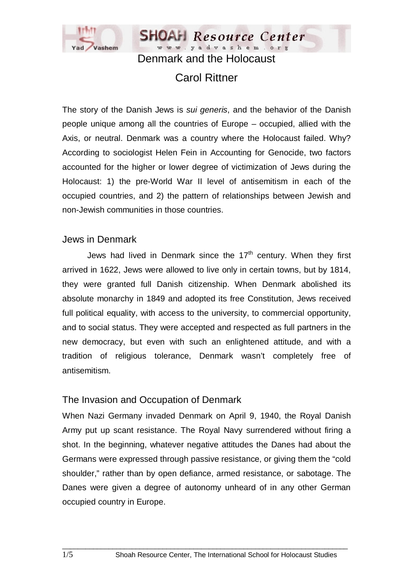

# Carol Rittner

The story of the Danish Jews is *sui generis*, and the behavior of the Danish people unique among all the countries of Europe – occupied, allied with the Axis, or neutral. Denmark was a country where the Holocaust failed. Why? According to sociologist Helen Fein in Accounting for Genocide, two factors accounted for the higher or lower degree of victimization of Jews during the Holocaust: 1) the pre-World War II level of antisemitism in each of the occupied countries, and 2) the pattern of relationships between Jewish and non-Jewish communities in those countries.

#### Jews in Denmark

Jews had lived in Denmark since the  $17<sup>th</sup>$  century. When they first arrived in 1622, Jews were allowed to live only in certain towns, but by 1814, they were granted full Danish citizenship. When Denmark abolished its absolute monarchy in 1849 and adopted its free Constitution, Jews received full political equality, with access to the university, to commercial opportunity, and to social status. They were accepted and respected as full partners in the new democracy, but even with such an enlightened attitude, and with a tradition of religious tolerance, Denmark wasn't completely free of antisemitism.

#### The Invasion and Occupation of Denmark

When Nazi Germany invaded Denmark on April 9, 1940, the Royal Danish Army put up scant resistance. The Royal Navy surrendered without firing a shot. In the beginning, whatever negative attitudes the Danes had about the Germans were expressed through passive resistance, or giving them the "cold shoulder," rather than by open defiance, armed resistance, or sabotage. The Danes were given a degree of autonomy unheard of in any other German occupied country in Europe.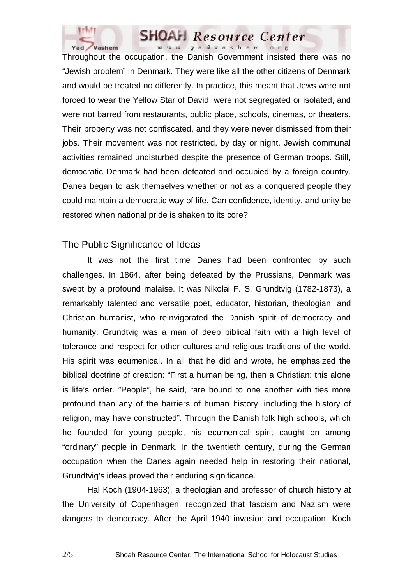

Throughout the occupation, the Danish Government insisted there was no "Jewish problem" in Denmark. They were like all the other citizens of Denmark and would be treated no differently. In practice, this meant that Jews were not forced to wear the Yellow Star of David, were not segregated or isolated, and were not barred from restaurants, public place, schools, cinemas, or theaters. Their property was not confiscated, and they were never dismissed from their jobs. Their movement was not restricted, by day or night. Jewish communal activities remained undisturbed despite the presence of German troops. Still, democratic Denmark had been defeated and occupied by a foreign country. Danes began to ask themselves whether or not as a conquered people they could maintain a democratic way of life. Can confidence, identity, and unity be restored when national pride is shaken to its core?

#### The Public Significance of Ideas

 It was not the first time Danes had been confronted by such challenges. In 1864, after being defeated by the Prussians, Denmark was swept by a profound malaise. It was Nikolai F. S. Grundtvig (1782-1873), a remarkably talented and versatile poet, educator, historian, theologian, and Christian humanist, who reinvigorated the Danish spirit of democracy and humanity. Grundtvig was a man of deep biblical faith with a high level of tolerance and respect for other cultures and religious traditions of the world. His spirit was ecumenical. In all that he did and wrote, he emphasized the biblical doctrine of creation: "First a human being, then a Christian: this alone is life's order. "People", he said, "are bound to one another with ties more profound than any of the barriers of human history, including the history of religion, may have constructed". Through the Danish folk high schools, which he founded for young people, his ecumenical spirit caught on among "ordinary" people in Denmark. In the twentieth century, during the German occupation when the Danes again needed help in restoring their national, Grundtvig's ideas proved their enduring significance.

 Hal Koch (1904-1963), a theologian and professor of church history at the University of Copenhagen, recognized that fascism and Nazism were dangers to democracy. After the April 1940 invasion and occupation, Koch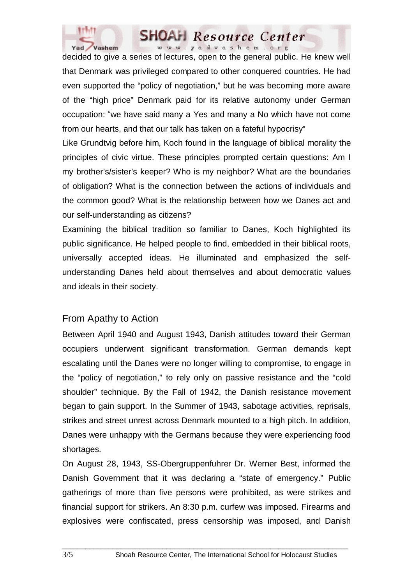

decided to give a series of lectures, open to the general public. He knew well that Denmark was privileged compared to other conquered countries. He had even supported the "policy of negotiation," but he was becoming more aware of the "high price" Denmark paid for its relative autonomy under German occupation: "we have said many a Yes and many a No which have not come from our hearts, and that our talk has taken on a fateful hypocrisy"

Like Grundtvig before him, Koch found in the language of biblical morality the principles of civic virtue. These principles prompted certain questions: Am I my brother's/sister's keeper? Who is my neighbor? What are the boundaries of obligation? What is the connection between the actions of individuals and the common good? What is the relationship between how we Danes act and our self-understanding as citizens?

Examining the biblical tradition so familiar to Danes, Koch highlighted its public significance. He helped people to find, embedded in their biblical roots, universally accepted ideas. He illuminated and emphasized the selfunderstanding Danes held about themselves and about democratic values and ideals in their society.

# From Apathy to Action

Between April 1940 and August 1943, Danish attitudes toward their German occupiers underwent significant transformation. German demands kept escalating until the Danes were no longer willing to compromise, to engage in the "policy of negotiation," to rely only on passive resistance and the "cold shoulder" technique. By the Fall of 1942, the Danish resistance movement began to gain support. In the Summer of 1943, sabotage activities, reprisals, strikes and street unrest across Denmark mounted to a high pitch. In addition, Danes were unhappy with the Germans because they were experiencing food shortages.

On August 28, 1943, SS-Obergruppenfuhrer Dr. Werner Best, informed the Danish Government that it was declaring a "state of emergency." Public gatherings of more than five persons were prohibited, as were strikes and financial support for strikers. An 8:30 p.m. curfew was imposed. Firearms and explosives were confiscated, press censorship was imposed, and Danish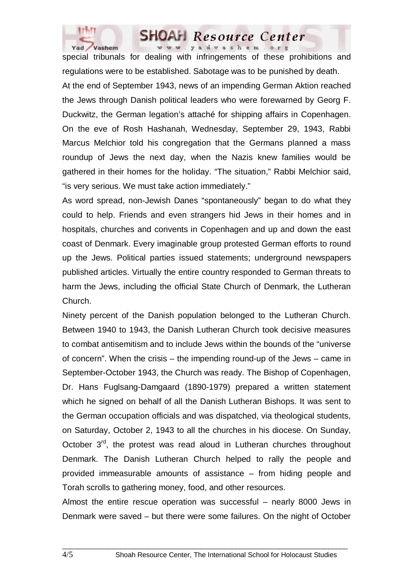

special tribunals for dealing with infringements of these prohibitions and regulations were to be established. Sabotage was to be punished by death. At the end of September 1943, news of an impending German Aktion reached the Jews through Danish political leaders who were forewarned by Georg F. Duckwitz, the German legation's attaché for shipping affairs in Copenhagen. On the eve of Rosh Hashanah, Wednesday, September 29, 1943, Rabbi Marcus Melchior told his congregation that the Germans planned a mass roundup of Jews the next day, when the Nazis knew families would be gathered in their homes for the holiday. "The situation," Rabbi Melchior said, "is very serious. We must take action immediately."

As word spread, non-Jewish Danes "spontaneously" began to do what they could to help. Friends and even strangers hid Jews in their homes and in hospitals, churches and convents in Copenhagen and up and down the east coast of Denmark. Every imaginable group protested German efforts to round up the Jews. Political parties issued statements; underground newspapers published articles. Virtually the entire country responded to German threats to harm the Jews, including the official State Church of Denmark, the Lutheran Church.

Ninety percent of the Danish population belonged to the Lutheran Church. Between 1940 to 1943, the Danish Lutheran Church took decisive measures to combat antisemitism and to include Jews within the bounds of the "universe of concern". When the crisis – the impending round-up of the Jews – came in September-October 1943, the Church was ready. The Bishop of Copenhagen, Dr. Hans Fuglsang-Damgaard (1890-1979) prepared a written statement which he signed on behalf of all the Danish Lutheran Bishops. It was sent to the German occupation officials and was dispatched, via theological students, on Saturday, October 2, 1943 to all the churches in his diocese. On Sunday, October 3<sup>rd</sup>, the protest was read aloud in Lutheran churches throughout Denmark. The Danish Lutheran Church helped to rally the people and provided immeasurable amounts of assistance – from hiding people and Torah scrolls to gathering money, food, and other resources.

Almost the entire rescue operation was successful – nearly 8000 Jews in Denmark were saved – but there were some failures. On the night of October